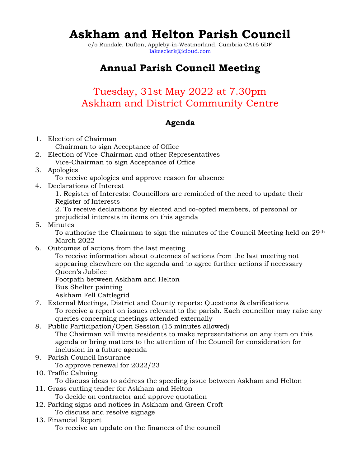# Askham and Helton Parish Council

c/o Rundale, Dufton, Appleby-in-Westmorland, Cumbria CA16 6DF lakesclerk@icloud.com

## Annual Parish Council Meeting

## Tuesday, 31st May 2022 at 7.30pm Askham and District Community Centre

### Agenda

- 1. Election of Chairman
	- Chairman to sign Acceptance of Office
- 2. Election of Vice-Chairman and other Representatives Vice-Chairman to sign Acceptance of Office
- 3. Apologies
	- To receive apologies and approve reason for absence
- 4. Declarations of Interest

1. Register of Interests: Councillors are reminded of the need to update their Register of Interests

2. To receive declarations by elected and co-opted members, of personal or prejudicial interests in items on this agenda

5. Minutes

To authorise the Chairman to sign the minutes of the Council Meeting held on 29th March 2022

6. Outcomes of actions from the last meeting

To receive information about outcomes of actions from the last meeting not appearing elsewhere on the agenda and to agree further actions if necessary Queen's Jubilee Footpath between Askham and Helton Bus Shelter painting

- Askham Fell Cattlegrid
- 7. External Meetings, District and County reports: Questions & clarifications To receive a report on issues relevant to the parish. Each councillor may raise any queries concerning meetings attended externally
- 8. Public Participation/Open Session (15 minutes allowed) The Chairman will invite residents to make representations on any item on this agenda or bring matters to the attention of the Council for consideration for inclusion in a future agenda
- 9. Parish Council Insurance

To approve renewal for 2022/23

10. Traffic Calming

To discuss ideas to address the speeding issue between Askham and Helton

- 11. Grass cutting tender for Askham and Helton To decide on contractor and approve quotation
- 12. Parking signs and notices in Askham and Green Croft To discuss and resolve signage
- 13. Financial Report To receive an update on the finances of the council